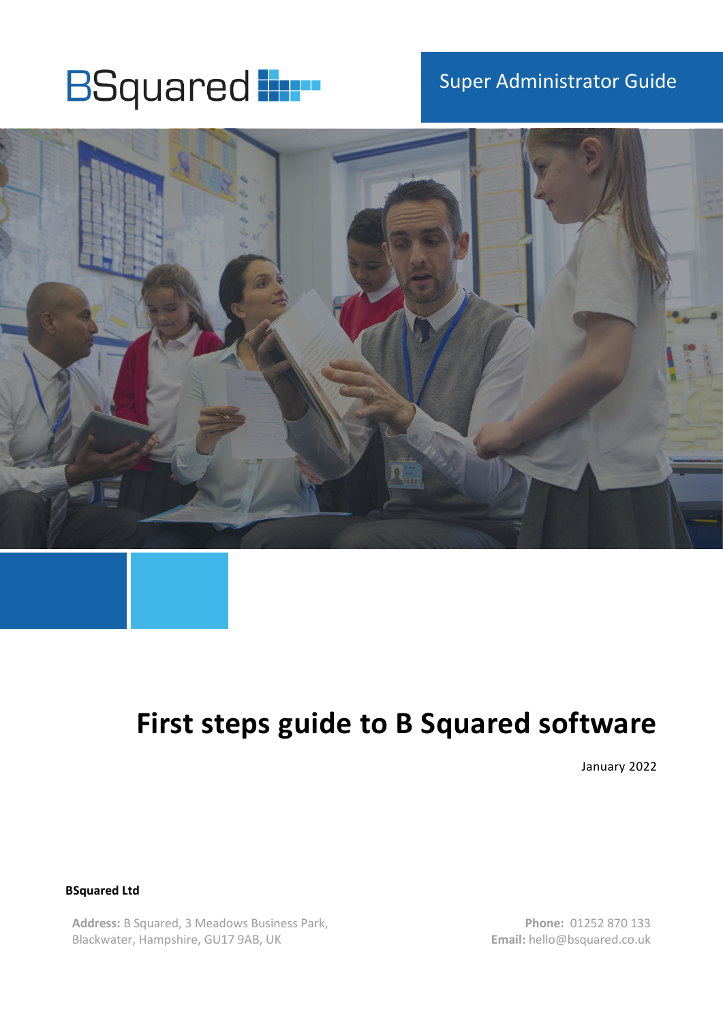# **BSquared in BSQUARE**

## Super Administrator Guide



## **First steps guide to B Squared software**

January 2022

**BSquared Ltd**

**Address:** B Squared, 3 Meadows Business Park, Blackwater, Hampshire, GU17 9AB, UK

**Phone:** 01252 870 133 **Email:** hello@bsquared.co.uk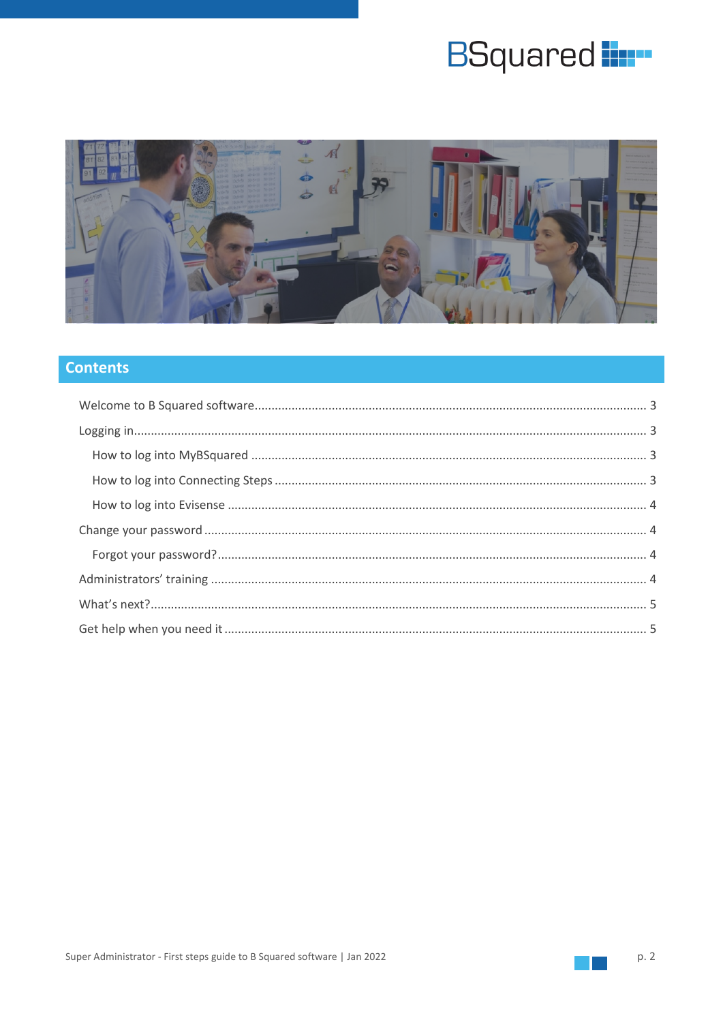# **BSquared**



#### **Contents**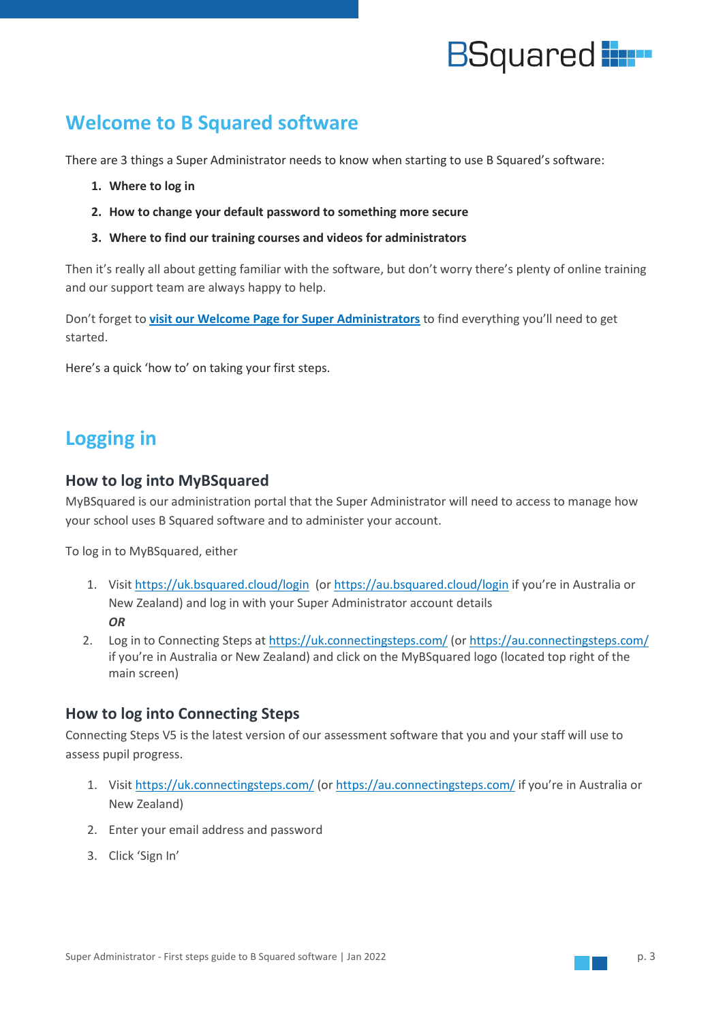

## <span id="page-2-0"></span>**Welcome to B Squared software**

There are 3 things a Super Administrator needs to know when starting to use B Squared's software:

- **1. Where to log in**
- **2. How to change your default password to something more secure**
- **3. Where to find our training courses and videos for administrators**

Then it's really all about getting familiar with the software, but don't worry there's plenty of online training and our support team are always happy to help.

Don't forget to **[visit our Welcome Page for Super Administrators](https://support.bsquared.co.uk/welcome-super-administrators/?utm_source=CS-V5-Onboarding&utm_medium=SA-Guide&utm_campaign=First-Steps)** to find everything you'll need to get started.

Here's a quick 'how to' on taking your first steps.

## <span id="page-2-1"></span>**Logging in**

#### <span id="page-2-2"></span>**How to log into MyBSquared**

MyBSquared is our administration portal that the Super Administrator will need to access to manage how your school uses B Squared software and to administer your account.

To log in to MyBSquared, either

- 1. Visit <https://uk.bsquared.cloud/login> (or<https://au.bsquared.cloud/login> if you're in Australia or New Zealand) and log in with your Super Administrator account details *OR*
- 2. Log in to Connecting Steps at<https://uk.connectingsteps.com/> (or<https://au.connectingsteps.com/> if you're in Australia or New Zealand) and click on the MyBSquared logo (located top right of the main screen)

#### <span id="page-2-3"></span>**How to log into Connecting Steps**

Connecting Steps V5 is the latest version of our assessment software that you and your staff will use to assess pupil progress.

- 1. Visit<https://uk.connectingsteps.com/> (o[r https://au.connectingsteps.com/](https://au.connectingsteps.com/) if you're in Australia or New Zealand)
- 2. Enter your email address and password
- 3. Click 'Sign In'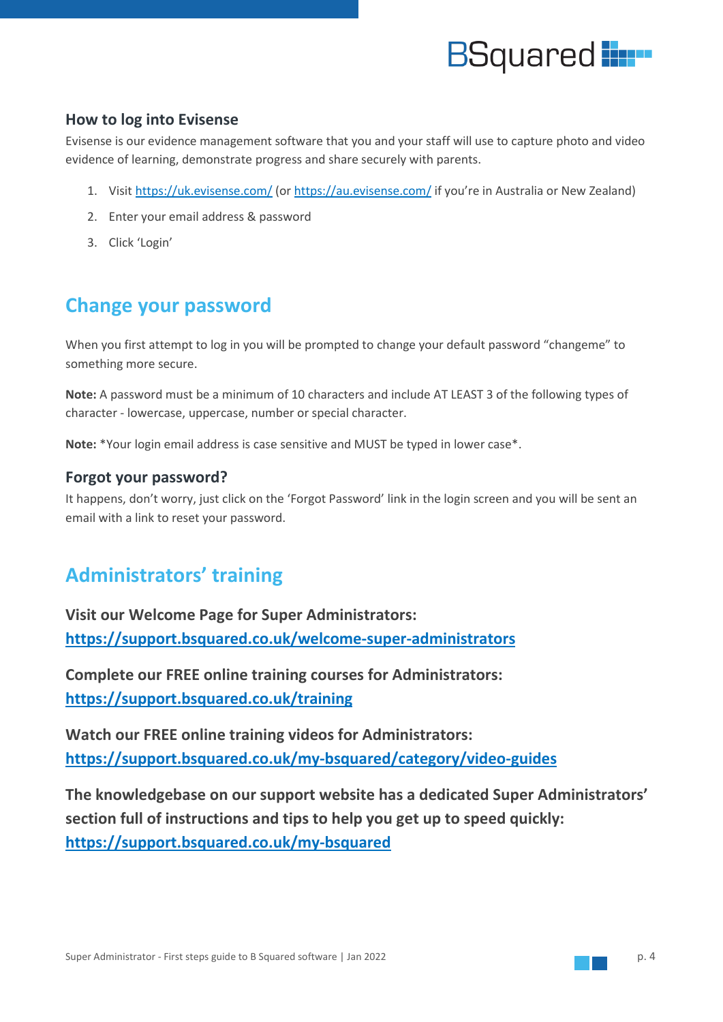

#### <span id="page-3-0"></span>**How to log into Evisense**

Evisense is our evidence management software that you and your staff will use to capture photo and video evidence of learning, demonstrate progress and share securely with parents.

- 1. Visit<https://uk.evisense.com/> (or<https://au.evisense.com/> if you're in Australia or New Zealand)
- 2. Enter your email address & password
- 3. Click 'Login'

## <span id="page-3-1"></span>**Change your password**

When you first attempt to log in you will be prompted to change your default password "changeme" to something more secure.

**Note:** A password must be a minimum of 10 characters and include AT LEAST 3 of the following types of character - lowercase, uppercase, number or special character.

**Note:** \*Your login email address is case sensitive and MUST be typed in lower case\*.

#### <span id="page-3-2"></span>**Forgot your password?**

It happens, don't worry, just click on the 'Forgot Password' link in the login screen and you will be sent an email with a link to reset your password.

### <span id="page-3-3"></span>**Administrators' training**

**Visit our Welcome Page for Super Administrators: [https://support.bsquared.co.uk/welcome-super-administrators](https://support.bsquared.co.uk/welcome-super-administrators/?utm_source=CS-V5-Onboarding&utm_medium=SA-Guide&utm_campaign=First-Steps)**

**Complete our FREE online training courses for Administrators: [https://support.bsquared.co.uk/training](https://support.bsquared.co.uk/training/?utm_source=CS-V5-Onboarding&utm_medium=SA-Guide&utm_campaign=First-Steps)**

**Watch our FREE online training videos for Administrators: [https://support.bsquared.co.uk/my-bsquared/category/video-guides](https://support.bsquared.co.uk/my-bsquared/category/video-guides?utm_source=CS-V5-Onboarding&utm_medium=SA-Guide&utm_campaign=First-Steps)**

**The knowledgebase on our support website has a dedicated Super Administrators' section full of instructions and tips to help you get up to speed quickly: [https://support.bsquared.co.uk/my-bsquared](https://support.bsquared.co.uk/my-bsquared?utm_source=CS-V5-Onboarding&utm_medium=SA-Guide&utm_campaign=First-Steps)**